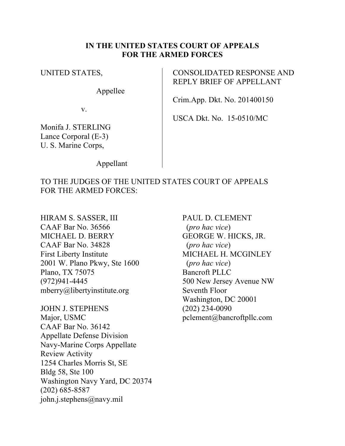#### **IN THE UNITED STATES COURT OF APPEALS FOR THE ARMED FORCES**

UNITED STATES,

Appellee

CONSOLIDATED RESPONSE AND REPLY BRIEF OF APPELLANT

Crim.App. Dkt. No. 201400150

v.

Monifa J. STERLING Lance Corporal (E-3) U. S. Marine Corps,

USCA Dkt. No. 15-0510/MC

Appellant

TO THE JUDGES OF THE UNITED STATES COURT OF APPEALS FOR THE ARMED FORCES:

HIRAM S. SASSER, III CAAF Bar No. 36566 MICHAEL D. BERRY CAAF Bar No. 34828 First Liberty Institute 2001 W. Plano Pkwy, Ste 1600 Plano, TX 75075 (972)941-4445 mberry@libertyinstitute.org

JOHN J. STEPHENS Major, USMC CAAF Bar No. 36142 Appellate Defense Division Navy-Marine Corps Appellate Review Activity 1254 Charles Morris St, SE Bldg 58, Ste 100 Washington Navy Yard, DC 20374 (202) 685-8587 john.j.stephens@navy.mil

PAUL D. CLEMENT (*pro hac vice*) GEORGE W. HICKS, JR. (*pro hac vice*) MICHAEL H. MCGINLEY (*pro hac vice*) Bancroft PLLC 500 New Jersey Avenue NW Seventh Floor Washington, DC 20001 (202) 234-0090 pclement@bancroftpllc.com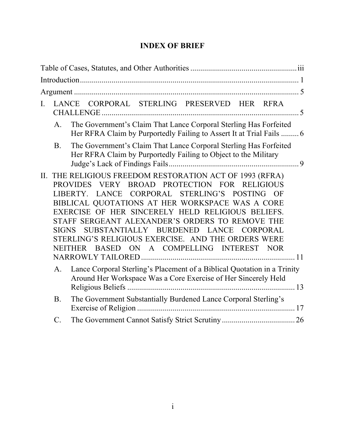| LANCE CORPORAL STERLING PRESERVED HER RFRA<br>$\mathbf{L}$                                                                                                                                                                                                                                                                                                                                                                                                                                                                |  |
|---------------------------------------------------------------------------------------------------------------------------------------------------------------------------------------------------------------------------------------------------------------------------------------------------------------------------------------------------------------------------------------------------------------------------------------------------------------------------------------------------------------------------|--|
| The Government's Claim That Lance Corporal Sterling Has Forfeited<br>A.<br>Her RFRA Claim by Purportedly Failing to Assert It at Trial Fails  6                                                                                                                                                                                                                                                                                                                                                                           |  |
| The Government's Claim That Lance Corporal Sterling Has Forfeited<br><b>B</b> .<br>Her RFRA Claim by Purportedly Failing to Object to the Military                                                                                                                                                                                                                                                                                                                                                                        |  |
| THE RELIGIOUS FREEDOM RESTORATION ACT OF 1993 (RFRA)<br>II.<br>PROVIDES VERY BROAD PROTECTION FOR RELIGIOUS<br>LANCE CORPORAL STERLING'S POSTING<br>LIBERTY.<br>OF<br>BIBLICAL QUOTATIONS AT HER WORKSPACE WAS A CORE<br>EXERCISE OF HER SINCERELY HELD RELIGIOUS BELIEFS.<br>STAFF SERGEANT ALEXANDER'S ORDERS TO REMOVE THE<br>SUBSTANTIALLY BURDENED<br><b>LANCE</b><br>CORPORAL<br><b>SIGNS</b><br>ERLING'S RELIGIOUS EXERCISE. AND THE ORDERS WERE<br>ON A COMPELLING INTEREST NOR<br><b>NEITHER</b><br><b>BASED</b> |  |
| Lance Corporal Sterling's Placement of a Biblical Quotation in a Trinity<br>$\mathsf{A}$ .<br>Around Her Workspace Was a Core Exercise of Her Sincerely Held                                                                                                                                                                                                                                                                                                                                                              |  |
| The Government Substantially Burdened Lance Corporal Sterling's<br><b>B</b> .                                                                                                                                                                                                                                                                                                                                                                                                                                             |  |
| $\mathcal{C}$ .                                                                                                                                                                                                                                                                                                                                                                                                                                                                                                           |  |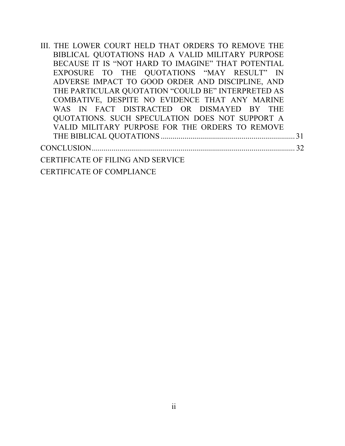| III. THE LOWER COURT HELD THAT ORDERS TO REMOVE THE |    |
|-----------------------------------------------------|----|
| BIBLICAL QUOTATIONS HAD A VALID MILITARY PURPOSE    |    |
| BECAUSE IT IS "NOT HARD TO IMAGINE" THAT POTENTIAL  |    |
| EXPOSURE TO THE QUOTATIONS "MAY RESULT" IN          |    |
| ADVERSE IMPACT TO GOOD ORDER AND DISCIPLINE, AND    |    |
| THE PARTICULAR QUOTATION "COULD BE" INTERPRETED AS  |    |
| COMBATIVE, DESPITE NO EVIDENCE THAT ANY MARINE      |    |
| WAS IN FACT DISTRACTED OR DISMAYED BY THE           |    |
| QUOTATIONS. SUCH SPECULATION DOES NOT SUPPORT A     |    |
| VALID MILITARY PURPOSE FOR THE ORDERS TO REMOVE     |    |
|                                                     | 31 |
|                                                     | 32 |
| <b>CERTIFICATE OF FILING AND SERVICE</b>            |    |
| <b>CERTIFICATE OF COMPLIANCE</b>                    |    |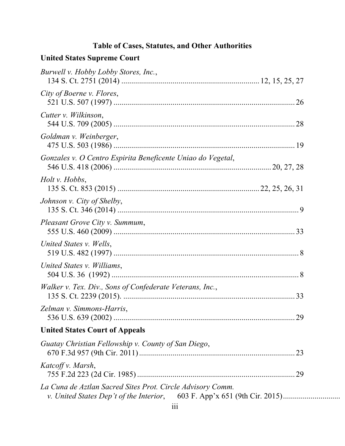## **Table of Cases, Statutes, and Other Authorities**

# **United States Supreme Court**

| Burwell v. Hobby Lobby Stores, Inc.,                        |  |
|-------------------------------------------------------------|--|
| City of Boerne v. Flores,                                   |  |
| Cutter v. Wilkinson,                                        |  |
| Goldman v. Weinberger,                                      |  |
| Gonzales v. O Centro Espirita Beneficente Uniao do Vegetal, |  |
| Holt v. Hobbs,                                              |  |
| Johnson v. City of Shelby,                                  |  |
| Pleasant Grove City v. Summum,                              |  |
| United States v. Wells,                                     |  |
| United States v. Williams,                                  |  |
| Walker v. Tex. Div., Sons of Confederate Veterans, Inc.,    |  |
| Zelman v. Simmons-Harris,                                   |  |
| <b>United States Court of Appeals</b>                       |  |
| Guatay Christian Fellowship v. County of San Diego,         |  |
| Katcoff v. Marsh,                                           |  |
| La Cuna de Aztlan Sacred Sites Prot. Circle Advisory Comm.  |  |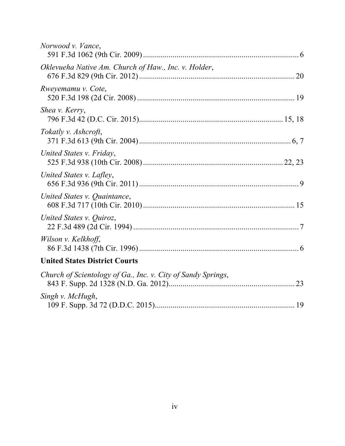| Norwood v. Vance,                                            |  |
|--------------------------------------------------------------|--|
| Oklevueha Native Am. Church of Haw., Inc. v. Holder,         |  |
| Rweyemamu v. Cote,                                           |  |
| Shea v. Kerry,                                               |  |
| Tokatly v. Ashcroft,                                         |  |
| United States v. Friday,                                     |  |
| United States v. Lafley,                                     |  |
| United States v. Quaintance,                                 |  |
| United States v. Quiroz,                                     |  |
| Wilson v. Kelkhoff,                                          |  |
| <b>United States District Courts</b>                         |  |
| Church of Scientology of Ga., Inc. v. City of Sandy Springs, |  |
| Singh v. McHugh,                                             |  |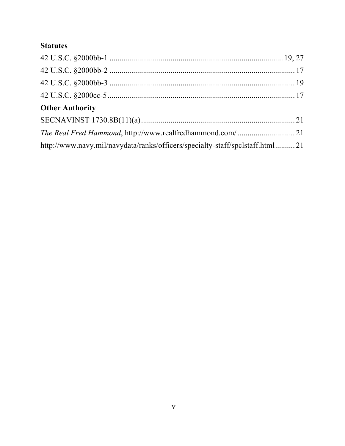## **Statutes**

| <b>Other Authority</b>                                                       |  |
|------------------------------------------------------------------------------|--|
|                                                                              |  |
|                                                                              |  |
| http://www.navy.mil/navydata/ranks/officers/specialty-staff/spclstaff.html21 |  |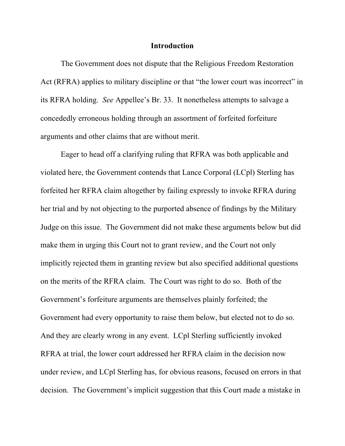#### **Introduction**

The Government does not dispute that the Religious Freedom Restoration Act (RFRA) applies to military discipline or that "the lower court was incorrect" in its RFRA holding. *See* Appellee's Br. 33. It nonetheless attempts to salvage a concededly erroneous holding through an assortment of forfeited forfeiture arguments and other claims that are without merit.

Eager to head off a clarifying ruling that RFRA was both applicable and violated here, the Government contends that Lance Corporal (LCpl) Sterling has forfeited her RFRA claim altogether by failing expressly to invoke RFRA during her trial and by not objecting to the purported absence of findings by the Military Judge on this issue. The Government did not make these arguments below but did make them in urging this Court not to grant review, and the Court not only implicitly rejected them in granting review but also specified additional questions on the merits of the RFRA claim. The Court was right to do so. Both of the Government's forfeiture arguments are themselves plainly forfeited; the Government had every opportunity to raise them below, but elected not to do so. And they are clearly wrong in any event. LCpl Sterling sufficiently invoked RFRA at trial, the lower court addressed her RFRA claim in the decision now under review, and LCpl Sterling has, for obvious reasons, focused on errors in that decision. The Government's implicit suggestion that this Court made a mistake in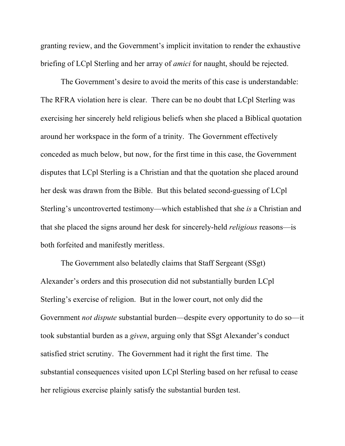granting review, and the Government's implicit invitation to render the exhaustive briefing of LCpl Sterling and her array of *amici* for naught, should be rejected.

The Government's desire to avoid the merits of this case is understandable: The RFRA violation here is clear. There can be no doubt that LCpl Sterling was exercising her sincerely held religious beliefs when she placed a Biblical quotation around her workspace in the form of a trinity. The Government effectively conceded as much below, but now, for the first time in this case, the Government disputes that LCpl Sterling is a Christian and that the quotation she placed around her desk was drawn from the Bible. But this belated second-guessing of LCpl Sterling's uncontroverted testimony—which established that she *is* a Christian and that she placed the signs around her desk for sincerely-held *religious* reasons—is both forfeited and manifestly meritless.

The Government also belatedly claims that Staff Sergeant (SSgt) Alexander's orders and this prosecution did not substantially burden LCpl Sterling's exercise of religion. But in the lower court, not only did the Government *not dispute* substantial burden—despite every opportunity to do so—it took substantial burden as a *given*, arguing only that SSgt Alexander's conduct satisfied strict scrutiny. The Government had it right the first time. The substantial consequences visited upon LCpl Sterling based on her refusal to cease her religious exercise plainly satisfy the substantial burden test.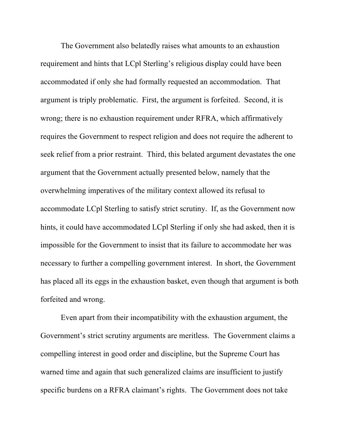The Government also belatedly raises what amounts to an exhaustion requirement and hints that LCpl Sterling's religious display could have been accommodated if only she had formally requested an accommodation. That argument is triply problematic. First, the argument is forfeited. Second, it is wrong; there is no exhaustion requirement under RFRA, which affirmatively requires the Government to respect religion and does not require the adherent to seek relief from a prior restraint. Third, this belated argument devastates the one argument that the Government actually presented below, namely that the overwhelming imperatives of the military context allowed its refusal to accommodate LCpl Sterling to satisfy strict scrutiny. If, as the Government now hints, it could have accommodated LCpl Sterling if only she had asked, then it is impossible for the Government to insist that its failure to accommodate her was necessary to further a compelling government interest. In short, the Government has placed all its eggs in the exhaustion basket, even though that argument is both forfeited and wrong.

Even apart from their incompatibility with the exhaustion argument, the Government's strict scrutiny arguments are meritless. The Government claims a compelling interest in good order and discipline, but the Supreme Court has warned time and again that such generalized claims are insufficient to justify specific burdens on a RFRA claimant's rights. The Government does not take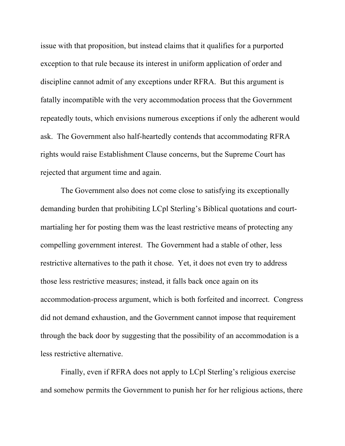issue with that proposition, but instead claims that it qualifies for a purported exception to that rule because its interest in uniform application of order and discipline cannot admit of any exceptions under RFRA. But this argument is fatally incompatible with the very accommodation process that the Government repeatedly touts, which envisions numerous exceptions if only the adherent would ask. The Government also half-heartedly contends that accommodating RFRA rights would raise Establishment Clause concerns, but the Supreme Court has rejected that argument time and again.

The Government also does not come close to satisfying its exceptionally demanding burden that prohibiting LCpl Sterling's Biblical quotations and courtmartialing her for posting them was the least restrictive means of protecting any compelling government interest. The Government had a stable of other, less restrictive alternatives to the path it chose. Yet, it does not even try to address those less restrictive measures; instead, it falls back once again on its accommodation-process argument, which is both forfeited and incorrect. Congress did not demand exhaustion, and the Government cannot impose that requirement through the back door by suggesting that the possibility of an accommodation is a less restrictive alternative.

Finally, even if RFRA does not apply to LCpl Sterling's religious exercise and somehow permits the Government to punish her for her religious actions, there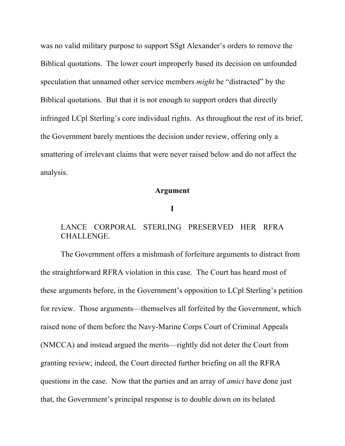was no valid military purpose to support SSgt Alexander's orders to remove the Biblical quotations. The lower court improperly based its decision on unfounded speculation that unnamed other service members *might* be "distracted" by the Biblical quotations. But that it is not enough to support orders that directly infringed LCpl Sterling's core individual rights. As throughout the rest of its brief, the Government barely mentions the decision under review, offering only a smattering of irrelevant claims that were never raised below and do not affect the analysis.

#### **Argument**

#### **I**

## LANCE CORPORAL STERLING PRESERVED HER RFRA CHALLENGE.

The Government offers a mishmash of forfeiture arguments to distract from the straightforward RFRA violation in this case. The Court has heard most of these arguments before, in the Government's opposition to LCpl Sterling's petition for review. Those arguments—themselves all forfeited by the Government, which raised none of them before the Navy-Marine Corps Court of Criminal Appeals (NMCCA) and instead argued the merits—rightly did not deter the Court from granting review; indeed, the Court directed further briefing on all the RFRA questions in the case. Now that the parties and an array of *amici* have done just that, the Government's principal response is to double down on its belated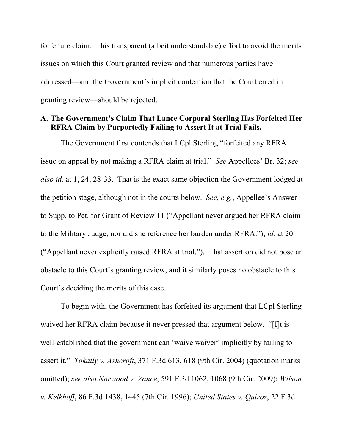forfeiture claim. This transparent (albeit understandable) effort to avoid the merits issues on which this Court granted review and that numerous parties have addressed—and the Government's implicit contention that the Court erred in granting review—should be rejected.

#### **A. The Government's Claim That Lance Corporal Sterling Has Forfeited Her RFRA Claim by Purportedly Failing to Assert It at Trial Fails.**

The Government first contends that LCpl Sterling "forfeited any RFRA issue on appeal by not making a RFRA claim at trial." *See* Appellees' Br. 32; *see also id.* at 1, 24, 28-33. That is the exact same objection the Government lodged at the petition stage, although not in the courts below. *See, e.g.*, Appellee's Answer to Supp. to Pet. for Grant of Review 11 ("Appellant never argued her RFRA claim to the Military Judge, nor did she reference her burden under RFRA."); *id.* at 20 ("Appellant never explicitly raised RFRA at trial."). That assertion did not pose an obstacle to this Court's granting review, and it similarly poses no obstacle to this Court's deciding the merits of this case.

To begin with, the Government has forfeited its argument that LCpl Sterling waived her RFRA claim because it never pressed that argument below. "[I]t is well-established that the government can 'waive waiver' implicitly by failing to assert it." *Tokatly v. Ashcroft*, 371 F.3d 613, 618 (9th Cir. 2004) (quotation marks omitted); *see also Norwood v. Vance*, 591 F.3d 1062, 1068 (9th Cir. 2009); *Wilson v. Kelkhoff*, 86 F.3d 1438, 1445 (7th Cir. 1996); *United States v. Quiroz*, 22 F.3d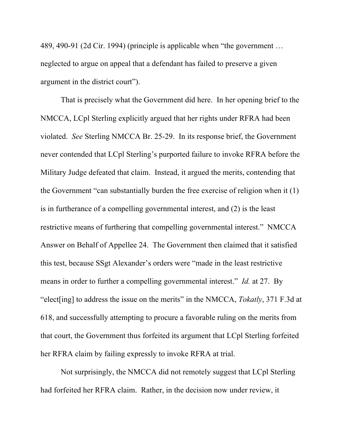489, 490-91 (2d Cir. 1994) (principle is applicable when "the government … neglected to argue on appeal that a defendant has failed to preserve a given argument in the district court").

That is precisely what the Government did here. In her opening brief to the NMCCA, LCpl Sterling explicitly argued that her rights under RFRA had been violated. *See* Sterling NMCCA Br. 25-29. In its response brief, the Government never contended that LCpl Sterling's purported failure to invoke RFRA before the Military Judge defeated that claim. Instead, it argued the merits, contending that the Government "can substantially burden the free exercise of religion when it (1) is in furtherance of a compelling governmental interest, and (2) is the least restrictive means of furthering that compelling governmental interest." NMCCA Answer on Behalf of Appellee 24. The Government then claimed that it satisfied this test, because SSgt Alexander's orders were "made in the least restrictive means in order to further a compelling governmental interest." *Id.* at 27. By "elect[ing] to address the issue on the merits" in the NMCCA, *Tokatly*, 371 F.3d at 618, and successfully attempting to procure a favorable ruling on the merits from that court, the Government thus forfeited its argument that LCpl Sterling forfeited her RFRA claim by failing expressly to invoke RFRA at trial.

Not surprisingly, the NMCCA did not remotely suggest that LCpl Sterling had forfeited her RFRA claim. Rather, in the decision now under review, it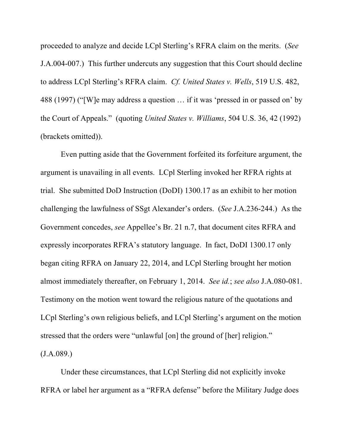proceeded to analyze and decide LCpl Sterling's RFRA claim on the merits. (*See* J.A.004-007.) This further undercuts any suggestion that this Court should decline to address LCpl Sterling's RFRA claim. *Cf. United States v. Wells*, 519 U.S. 482, 488 (1997) ("[W]e may address a question … if it was 'pressed in or passed on' by the Court of Appeals." (quoting *United States v. Williams*, 504 U.S. 36, 42 (1992) (brackets omitted)).

Even putting aside that the Government forfeited its forfeiture argument, the argument is unavailing in all events. LCpl Sterling invoked her RFRA rights at trial. She submitted DoD Instruction (DoDI) 1300.17 as an exhibit to her motion challenging the lawfulness of SSgt Alexander's orders. (*See* J.A.236-244.) As the Government concedes, *see* Appellee's Br. 21 n.7, that document cites RFRA and expressly incorporates RFRA's statutory language. In fact, DoDI 1300.17 only began citing RFRA on January 22, 2014, and LCpl Sterling brought her motion almost immediately thereafter, on February 1, 2014. *See id.*; *see also* J.A.080-081. Testimony on the motion went toward the religious nature of the quotations and LCpl Sterling's own religious beliefs, and LCpl Sterling's argument on the motion stressed that the orders were "unlawful [on] the ground of [her] religion."  $(J.A.089.)$ 

Under these circumstances, that LCpl Sterling did not explicitly invoke RFRA or label her argument as a "RFRA defense" before the Military Judge does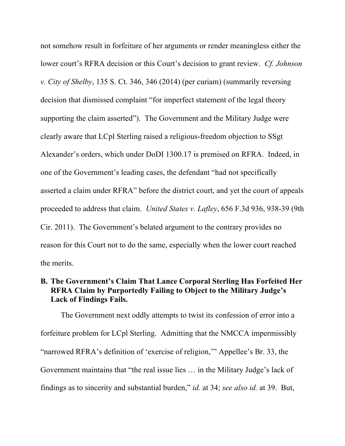not somehow result in forfeiture of her arguments or render meaningless either the lower court's RFRA decision or this Court's decision to grant review. *Cf. Johnson v. City of Shelby*, 135 S. Ct. 346, 346 (2014) (per curiam) (summarily reversing decision that dismissed complaint "for imperfect statement of the legal theory supporting the claim asserted"). The Government and the Military Judge were clearly aware that LCpl Sterling raised a religious-freedom objection to SSgt Alexander's orders, which under DoDI 1300.17 is premised on RFRA. Indeed, in one of the Government's leading cases, the defendant "had not specifically asserted a claim under RFRA" before the district court, and yet the court of appeals proceeded to address that claim. *United States v. Lafley*, 656 F.3d 936, 938-39 (9th Cir. 2011). The Government's belated argument to the contrary provides no reason for this Court not to do the same, especially when the lower court reached the merits.

## **B. The Government's Claim That Lance Corporal Sterling Has Forfeited Her RFRA Claim by Purportedly Failing to Object to the Military Judge's Lack of Findings Fails.**

The Government next oddly attempts to twist its confession of error into a forfeiture problem for LCpl Sterling. Admitting that the NMCCA impermissibly "narrowed RFRA's definition of 'exercise of religion,'" Appellee's Br. 33, the Government maintains that "the real issue lies … in the Military Judge's lack of findings as to sincerity and substantial burden," *id.* at 34; *see also id.* at 39. But,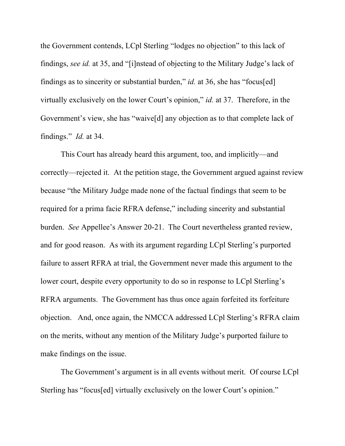the Government contends, LCpl Sterling "lodges no objection" to this lack of findings, *see id.* at 35, and "[i]nstead of objecting to the Military Judge's lack of findings as to sincerity or substantial burden," *id.* at 36, she has "focus[ed] virtually exclusively on the lower Court's opinion," *id.* at 37. Therefore, in the Government's view, she has "waive[d] any objection as to that complete lack of findings." *Id.* at 34.

This Court has already heard this argument, too, and implicitly—and correctly—rejected it. At the petition stage, the Government argued against review because "the Military Judge made none of the factual findings that seem to be required for a prima facie RFRA defense," including sincerity and substantial burden. *See* Appellee's Answer 20-21. The Court nevertheless granted review, and for good reason. As with its argument regarding LCpl Sterling's purported failure to assert RFRA at trial, the Government never made this argument to the lower court, despite every opportunity to do so in response to LCpl Sterling's RFRA arguments. The Government has thus once again forfeited its forfeiture objection. And, once again, the NMCCA addressed LCpl Sterling's RFRA claim on the merits, without any mention of the Military Judge's purported failure to make findings on the issue.

The Government's argument is in all events without merit. Of course LCpl Sterling has "focus[ed] virtually exclusively on the lower Court's opinion."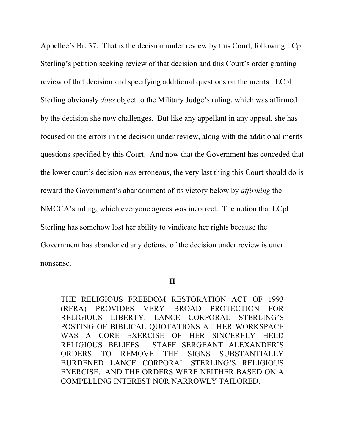Appellee's Br. 37. That is the decision under review by this Court, following LCpl Sterling's petition seeking review of that decision and this Court's order granting review of that decision and specifying additional questions on the merits. LCpl Sterling obviously *does* object to the Military Judge's ruling, which was affirmed by the decision she now challenges. But like any appellant in any appeal, she has focused on the errors in the decision under review, along with the additional merits questions specified by this Court. And now that the Government has conceded that the lower court's decision *was* erroneous, the very last thing this Court should do is reward the Government's abandonment of its victory below by *affirming* the NMCCA's ruling, which everyone agrees was incorrect. The notion that LCpl Sterling has somehow lost her ability to vindicate her rights because the Government has abandoned any defense of the decision under review is utter nonsense.

**II**

THE RELIGIOUS FREEDOM RESTORATION ACT OF 1993 (RFRA) PROVIDES VERY BROAD PROTECTION FOR RELIGIOUS LIBERTY. LANCE CORPORAL STERLING'S POSTING OF BIBLICAL QUOTATIONS AT HER WORKSPACE WAS A CORE EXERCISE OF HER SINCERELY HELD RELIGIOUS BELIEFS. STAFF SERGEANT ALEXANDER'S ORDERS TO REMOVE THE SIGNS SUBSTANTIALLY BURDENED LANCE CORPORAL STERLING'S RELIGIOUS EXERCISE. AND THE ORDERS WERE NEITHER BASED ON A COMPELLING INTEREST NOR NARROWLY TAILORED.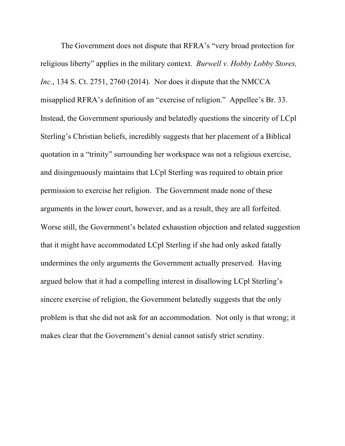The Government does not dispute that RFRA's "very broad protection for religious liberty" applies in the military context. *Burwell v. Hobby Lobby Stores, Inc.*, 134 S. Ct. 2751, 2760 (2014). Nor does it dispute that the NMCCA misapplied RFRA's definition of an "exercise of religion." Appellee's Br. 33. Instead, the Government spuriously and belatedly questions the sincerity of LCpl Sterling's Christian beliefs, incredibly suggests that her placement of a Biblical quotation in a "trinity" surrounding her workspace was not a religious exercise, and disingenuously maintains that LCpl Sterling was required to obtain prior permission to exercise her religion. The Government made none of these arguments in the lower court, however, and as a result, they are all forfeited. Worse still, the Government's belated exhaustion objection and related suggestion that it might have accommodated LCpl Sterling if she had only asked fatally undermines the only arguments the Government actually preserved. Having argued below that it had a compelling interest in disallowing LCpl Sterling's sincere exercise of religion, the Government belatedly suggests that the only problem is that she did not ask for an accommodation. Not only is that wrong; it makes clear that the Government's denial cannot satisfy strict scrutiny.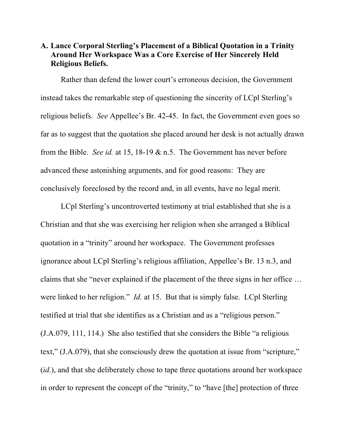## **A. Lance Corporal Sterling's Placement of a Biblical Quotation in a Trinity Around Her Workspace Was a Core Exercise of Her Sincerely Held Religious Beliefs.**

Rather than defend the lower court's erroneous decision, the Government instead takes the remarkable step of questioning the sincerity of LCpl Sterling's religious beliefs. *See* Appellee's Br. 42-45. In fact, the Government even goes so far as to suggest that the quotation she placed around her desk is not actually drawn from the Bible. *See id.* at 15, 18-19 & n.5. The Government has never before advanced these astonishing arguments, and for good reasons: They are conclusively foreclosed by the record and, in all events, have no legal merit.

LCpl Sterling's uncontroverted testimony at trial established that she is a Christian and that she was exercising her religion when she arranged a Biblical quotation in a "trinity" around her workspace. The Government professes ignorance about LCpl Sterling's religious affiliation, Appellee's Br. 13 n.3, and claims that she "never explained if the placement of the three signs in her office … were linked to her religion." *Id.* at 15. But that is simply false. LCpl Sterling testified at trial that she identifies as a Christian and as a "religious person." (J.A.079, 111, 114.) She also testified that she considers the Bible "a religious text," (J.A.079), that she consciously drew the quotation at issue from "scripture," (*id.*), and that she deliberately chose to tape three quotations around her workspace in order to represent the concept of the "trinity," to "have [the] protection of three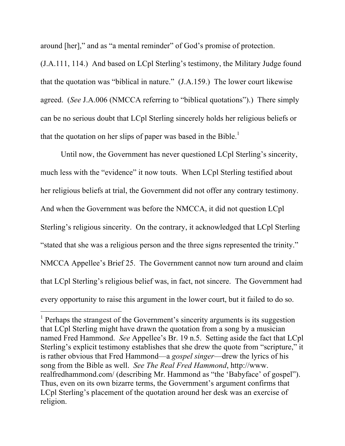around [her]," and as "a mental reminder" of God's promise of protection.

(J.A.111, 114.) And based on LCpl Sterling's testimony, the Military Judge found that the quotation was "biblical in nature." (J.A.159.) The lower court likewise agreed. (*See* J.A.006 (NMCCA referring to "biblical quotations").) There simply can be no serious doubt that LCpl Sterling sincerely holds her religious beliefs or that the quotation on her slips of paper was based in the Bible.<sup>1</sup>

Until now, the Government has never questioned LCpl Sterling's sincerity, much less with the "evidence" it now touts. When LCpl Sterling testified about her religious beliefs at trial, the Government did not offer any contrary testimony. And when the Government was before the NMCCA, it did not question LCpl Sterling's religious sincerity. On the contrary, it acknowledged that LCpl Sterling "stated that she was a religious person and the three signs represented the trinity." NMCCA Appellee's Brief 25. The Government cannot now turn around and claim that LCpl Sterling's religious belief was, in fact, not sincere. The Government had every opportunity to raise this argument in the lower court, but it failed to do so.

l

 $1$  Perhaps the strangest of the Government's sincerity arguments is its suggestion that LCpl Sterling might have drawn the quotation from a song by a musician named Fred Hammond. *See* Appellee's Br. 19 n.5. Setting aside the fact that LCpl Sterling's explicit testimony establishes that she drew the quote from "scripture," it is rather obvious that Fred Hammond—a *gospel singer*—drew the lyrics of his song from the Bible as well. *See The Real Fred Hammond*, http://www. realfredhammond.com/ (describing Mr. Hammond as "the 'Babyface' of gospel"). Thus, even on its own bizarre terms, the Government's argument confirms that LCpl Sterling's placement of the quotation around her desk was an exercise of religion.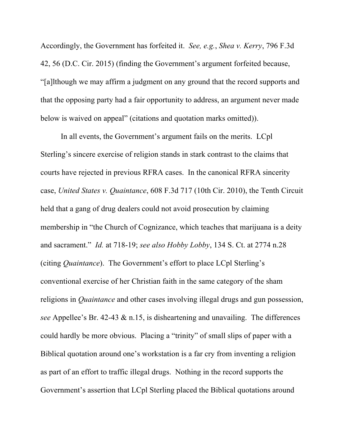Accordingly, the Government has forfeited it. *See, e.g.*, *Shea v. Kerry*, 796 F.3d 42, 56 (D.C. Cir. 2015) (finding the Government's argument forfeited because, "[a]lthough we may affirm a judgment on any ground that the record supports and that the opposing party had a fair opportunity to address, an argument never made below is waived on appeal" (citations and quotation marks omitted)).

In all events, the Government's argument fails on the merits. LCpl Sterling's sincere exercise of religion stands in stark contrast to the claims that courts have rejected in previous RFRA cases. In the canonical RFRA sincerity case, *United States v. Quaintance*, 608 F.3d 717 (10th Cir. 2010), the Tenth Circuit held that a gang of drug dealers could not avoid prosecution by claiming membership in "the Church of Cognizance, which teaches that marijuana is a deity and sacrament." *Id.* at 718-19; *see also Hobby Lobby*, 134 S. Ct. at 2774 n.28 (citing *Quaintance*). The Government's effort to place LCpl Sterling's conventional exercise of her Christian faith in the same category of the sham religions in *Quaintance* and other cases involving illegal drugs and gun possession, *see* Appellee's Br. 42-43 & n.15, is disheartening and unavailing. The differences could hardly be more obvious. Placing a "trinity" of small slips of paper with a Biblical quotation around one's workstation is a far cry from inventing a religion as part of an effort to traffic illegal drugs. Nothing in the record supports the Government's assertion that LCpl Sterling placed the Biblical quotations around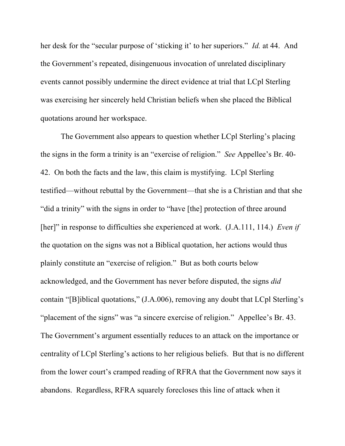her desk for the "secular purpose of 'sticking it' to her superiors." *Id.* at 44. And the Government's repeated, disingenuous invocation of unrelated disciplinary events cannot possibly undermine the direct evidence at trial that LCpl Sterling was exercising her sincerely held Christian beliefs when she placed the Biblical quotations around her workspace.

The Government also appears to question whether LCpl Sterling's placing the signs in the form a trinity is an "exercise of religion." *See* Appellee's Br. 40- 42. On both the facts and the law, this claim is mystifying. LCpl Sterling testified—without rebuttal by the Government—that she is a Christian and that she "did a trinity" with the signs in order to "have [the] protection of three around [her]" in response to difficulties she experienced at work. (J.A.111, 114.) *Even if* the quotation on the signs was not a Biblical quotation, her actions would thus plainly constitute an "exercise of religion." But as both courts below acknowledged, and the Government has never before disputed, the signs *did* contain "[B]iblical quotations," (J.A.006), removing any doubt that LCpl Sterling's "placement of the signs" was "a sincere exercise of religion." Appellee's Br. 43. The Government's argument essentially reduces to an attack on the importance or centrality of LCpl Sterling's actions to her religious beliefs. But that is no different from the lower court's cramped reading of RFRA that the Government now says it abandons. Regardless, RFRA squarely forecloses this line of attack when it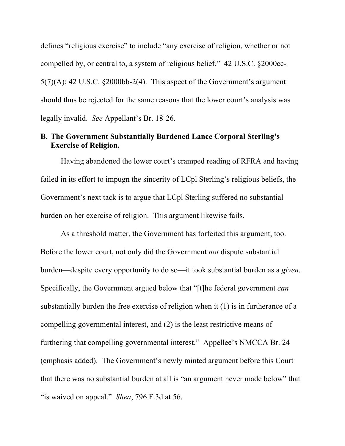defines "religious exercise" to include "any exercise of religion, whether or not compelled by, or central to, a system of religious belief." 42 U.S.C. §2000cc- $5(7)(A)$ ; 42 U.S.C. §2000bb-2(4). This aspect of the Government's argument should thus be rejected for the same reasons that the lower court's analysis was legally invalid. *See* Appellant's Br. 18-26.

#### **B. The Government Substantially Burdened Lance Corporal Sterling's Exercise of Religion.**

Having abandoned the lower court's cramped reading of RFRA and having failed in its effort to impugn the sincerity of LCpl Sterling's religious beliefs, the Government's next tack is to argue that LCpl Sterling suffered no substantial burden on her exercise of religion. This argument likewise fails.

As a threshold matter, the Government has forfeited this argument, too. Before the lower court, not only did the Government *not* dispute substantial burden—despite every opportunity to do so—it took substantial burden as a *given*. Specifically, the Government argued below that "[t]he federal government *can* substantially burden the free exercise of religion when it (1) is in furtherance of a compelling governmental interest, and (2) is the least restrictive means of furthering that compelling governmental interest." Appellee's NMCCA Br. 24 (emphasis added). The Government's newly minted argument before this Court that there was no substantial burden at all is "an argument never made below" that "is waived on appeal." *Shea*, 796 F.3d at 56.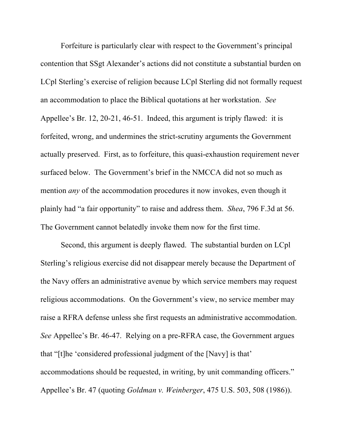Forfeiture is particularly clear with respect to the Government's principal contention that SSgt Alexander's actions did not constitute a substantial burden on LCpl Sterling's exercise of religion because LCpl Sterling did not formally request an accommodation to place the Biblical quotations at her workstation. *See* Appellee's Br. 12, 20-21, 46-51. Indeed, this argument is triply flawed: it is forfeited, wrong, and undermines the strict-scrutiny arguments the Government actually preserved. First, as to forfeiture, this quasi-exhaustion requirement never surfaced below. The Government's brief in the NMCCA did not so much as mention *any* of the accommodation procedures it now invokes, even though it plainly had "a fair opportunity" to raise and address them. *Shea*, 796 F.3d at 56. The Government cannot belatedly invoke them now for the first time.

Second, this argument is deeply flawed. The substantial burden on LCpl Sterling's religious exercise did not disappear merely because the Department of the Navy offers an administrative avenue by which service members may request religious accommodations. On the Government's view, no service member may raise a RFRA defense unless she first requests an administrative accommodation. *See* Appellee's Br. 46-47. Relying on a pre-RFRA case, the Government argues that "[t]he 'considered professional judgment of the [Navy] is that' accommodations should be requested, in writing, by unit commanding officers." Appellee's Br. 47 (quoting *Goldman v. Weinberger*, 475 U.S. 503, 508 (1986)).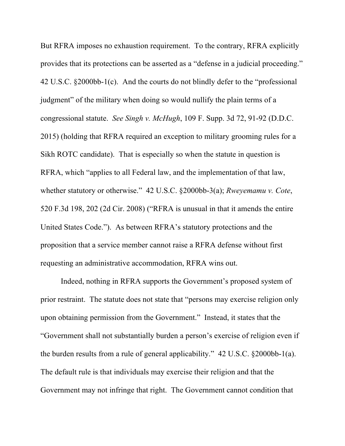But RFRA imposes no exhaustion requirement. To the contrary, RFRA explicitly provides that its protections can be asserted as a "defense in a judicial proceeding." 42 U.S.C. §2000bb-1(c). And the courts do not blindly defer to the "professional judgment" of the military when doing so would nullify the plain terms of a congressional statute. *See Singh v. McHugh*, 109 F. Supp. 3d 72, 91-92 (D.D.C. 2015) (holding that RFRA required an exception to military grooming rules for a Sikh ROTC candidate). That is especially so when the statute in question is RFRA, which "applies to all Federal law, and the implementation of that law, whether statutory or otherwise." 42 U.S.C. §2000bb-3(a); *Rweyemamu v. Cote*, 520 F.3d 198, 202 (2d Cir. 2008) ("RFRA is unusual in that it amends the entire United States Code."). As between RFRA's statutory protections and the proposition that a service member cannot raise a RFRA defense without first requesting an administrative accommodation, RFRA wins out.

Indeed, nothing in RFRA supports the Government's proposed system of prior restraint. The statute does not state that "persons may exercise religion only upon obtaining permission from the Government." Instead, it states that the "Government shall not substantially burden a person's exercise of religion even if the burden results from a rule of general applicability." 42 U.S.C. §2000bb-1(a). The default rule is that individuals may exercise their religion and that the Government may not infringe that right. The Government cannot condition that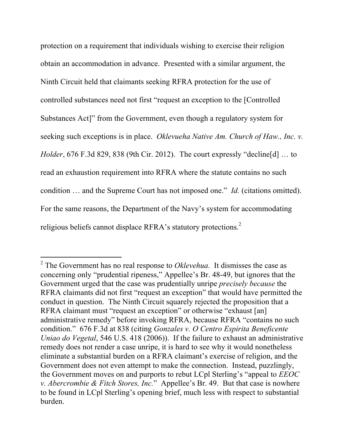protection on a requirement that individuals wishing to exercise their religion obtain an accommodation in advance. Presented with a similar argument, the Ninth Circuit held that claimants seeking RFRA protection for the use of controlled substances need not first "request an exception to the [Controlled Substances Act]" from the Government, even though a regulatory system for seeking such exceptions is in place. *Oklevueha Native Am. Church of Haw., Inc. v. Holder*, 676 F.3d 829, 838 (9th Cir. 2012). The court expressly "decline[d] … to read an exhaustion requirement into RFRA where the statute contains no such condition … and the Supreme Court has not imposed one." *Id.* (citations omitted). For the same reasons, the Department of the Navy's system for accommodating religious beliefs cannot displace RFRA's statutory protections.<sup>2</sup>

 $\overline{a}$ 

<sup>2</sup> The Government has no real response to *Oklevehua*. It dismisses the case as concerning only "prudential ripeness," Appellee's Br. 48-49, but ignores that the Government urged that the case was prudentially unripe *precisely because* the RFRA claimants did not first "request an exception" that would have permitted the conduct in question. The Ninth Circuit squarely rejected the proposition that a RFRA claimant must "request an exception" or otherwise "exhaust [an] administrative remedy" before invoking RFRA, because RFRA "contains no such condition." 676 F.3d at 838 (citing *Gonzales v. O Centro Espirita Beneficente Uniao do Vegetal*, 546 U.S. 418 (2006)). If the failure to exhaust an administrative remedy does not render a case unripe, it is hard to see why it would nonetheless eliminate a substantial burden on a RFRA claimant's exercise of religion, and the Government does not even attempt to make the connection. Instead, puzzlingly, the Government moves on and purports to rebut LCpl Sterling's "appeal to *EEOC v. Abercrombie & Fitch Stores, Inc.*" Appellee's Br. 49. But that case is nowhere to be found in LCpl Sterling's opening brief, much less with respect to substantial burden.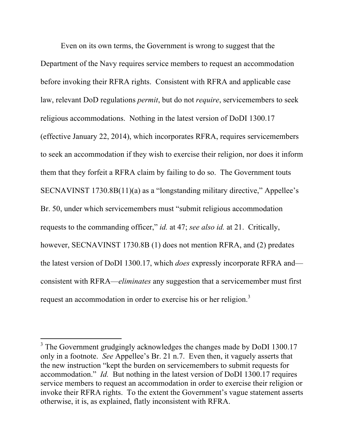Even on its own terms, the Government is wrong to suggest that the Department of the Navy requires service members to request an accommodation before invoking their RFRA rights. Consistent with RFRA and applicable case law, relevant DoD regulations *permit*, but do not *require*, servicemembers to seek religious accommodations. Nothing in the latest version of DoDI 1300.17 (effective January 22, 2014), which incorporates RFRA, requires servicemembers to seek an accommodation if they wish to exercise their religion, nor does it inform them that they forfeit a RFRA claim by failing to do so. The Government touts SECNAVINST 1730.8B(11)(a) as a "longstanding military directive," Appellee's Br. 50, under which servicemembers must "submit religious accommodation requests to the commanding officer," *id.* at 47; *see also id.* at 21. Critically, however, SECNAVINST 1730.8B (1) does not mention RFRA, and (2) predates the latest version of DoDI 1300.17, which *does* expressly incorporate RFRA and consistent with RFRA—*eliminates* any suggestion that a servicemember must first request an accommodation in order to exercise his or her religion.<sup>3</sup>

 $\overline{a}$ 

<sup>&</sup>lt;sup>3</sup> The Government grudgingly acknowledges the changes made by DoDI 1300.17 only in a footnote. *See* Appellee's Br. 21 n.7. Even then, it vaguely asserts that the new instruction "kept the burden on servicemembers to submit requests for accommodation." *Id.* But nothing in the latest version of DoDI 1300.17 requires service members to request an accommodation in order to exercise their religion or invoke their RFRA rights. To the extent the Government's vague statement asserts otherwise, it is, as explained, flatly inconsistent with RFRA.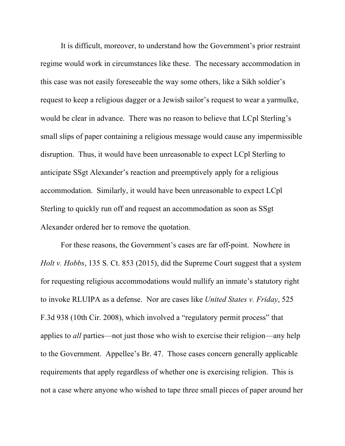It is difficult, moreover, to understand how the Government's prior restraint regime would work in circumstances like these. The necessary accommodation in this case was not easily foreseeable the way some others, like a Sikh soldier's request to keep a religious dagger or a Jewish sailor's request to wear a yarmulke, would be clear in advance. There was no reason to believe that LCpl Sterling's small slips of paper containing a religious message would cause any impermissible disruption. Thus, it would have been unreasonable to expect LCpl Sterling to anticipate SSgt Alexander's reaction and preemptively apply for a religious accommodation. Similarly, it would have been unreasonable to expect LCpl Sterling to quickly run off and request an accommodation as soon as SSgt Alexander ordered her to remove the quotation.

For these reasons, the Government's cases are far off-point. Nowhere in *Holt v. Hobbs*, 135 S. Ct. 853 (2015), did the Supreme Court suggest that a system for requesting religious accommodations would nullify an inmate's statutory right to invoke RLUIPA as a defense. Nor are cases like *United States v. Friday*, 525 F.3d 938 (10th Cir. 2008), which involved a "regulatory permit process" that applies to *all* parties—not just those who wish to exercise their religion—any help to the Government. Appellee's Br. 47. Those cases concern generally applicable requirements that apply regardless of whether one is exercising religion. This is not a case where anyone who wished to tape three small pieces of paper around her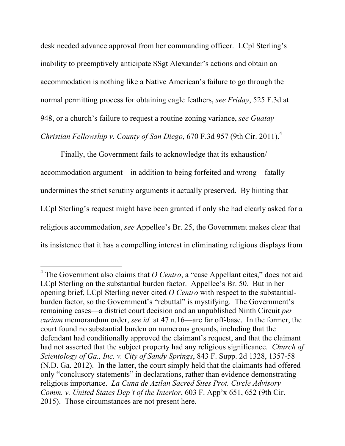desk needed advance approval from her commanding officer. LCpl Sterling's inability to preemptively anticipate SSgt Alexander's actions and obtain an accommodation is nothing like a Native American's failure to go through the normal permitting process for obtaining eagle feathers, *see Friday*, 525 F.3d at 948, or a church's failure to request a routine zoning variance, *see Guatay Christian Fellowship v. County of San Diego*, 670 F.3d 957 (9th Cir. 2011). 4

Finally, the Government fails to acknowledge that its exhaustion/ accommodation argument—in addition to being forfeited and wrong—fatally undermines the strict scrutiny arguments it actually preserved. By hinting that LCpl Sterling's request might have been granted if only she had clearly asked for a religious accommodation, *see* Appellee's Br. 25, the Government makes clear that its insistence that it has a compelling interest in eliminating religious displays from

 $\overline{a}$ 

 $4$  The Government also claims that *O Centro*, a "case Appellant cites," does not aid LCpl Sterling on the substantial burden factor. Appellee's Br. 50. But in her opening brief, LCpl Sterling never cited *O Centro* with respect to the substantialburden factor, so the Government's "rebuttal" is mystifying. The Government's remaining cases—a district court decision and an unpublished Ninth Circuit *per curiam* memorandum order, *see id.* at 47 n.16—are far off-base. In the former, the court found no substantial burden on numerous grounds, including that the defendant had conditionally approved the claimant's request, and that the claimant had not asserted that the subject property had any religious significance. *Church of Scientology of Ga., Inc. v. City of Sandy Springs*, 843 F. Supp. 2d 1328, 1357-58 (N.D. Ga. 2012). In the latter, the court simply held that the claimants had offered only "conclusory statements" in declarations, rather than evidence demonstrating religious importance. *La Cuna de Aztlan Sacred Sites Prot. Circle Advisory Comm. v. United States Dep't of the Interior*, 603 F. App'x 651, 652 (9th Cir. 2015). Those circumstances are not present here.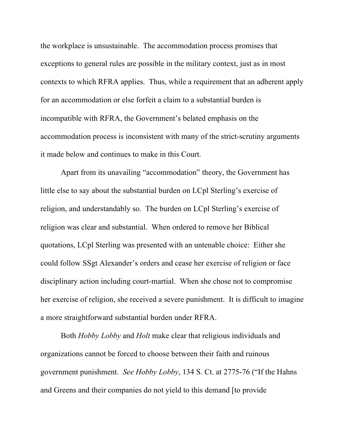the workplace is unsustainable. The accommodation process promises that exceptions to general rules are possible in the military context, just as in most contexts to which RFRA applies. Thus, while a requirement that an adherent apply for an accommodation or else forfeit a claim to a substantial burden is incompatible with RFRA, the Government's belated emphasis on the accommodation process is inconsistent with many of the strict-scrutiny arguments it made below and continues to make in this Court.

Apart from its unavailing "accommodation" theory, the Government has little else to say about the substantial burden on LCpl Sterling's exercise of religion, and understandably so. The burden on LCpl Sterling's exercise of religion was clear and substantial. When ordered to remove her Biblical quotations, LCpl Sterling was presented with an untenable choice: Either she could follow SSgt Alexander's orders and cease her exercise of religion or face disciplinary action including court-martial. When she chose not to compromise her exercise of religion, she received a severe punishment. It is difficult to imagine a more straightforward substantial burden under RFRA.

Both *Hobby Lobby* and *Holt* make clear that religious individuals and organizations cannot be forced to choose between their faith and ruinous government punishment. *See Hobby Lobby*, 134 S. Ct. at 2775-76 ("If the Hahns and Greens and their companies do not yield to this demand [to provide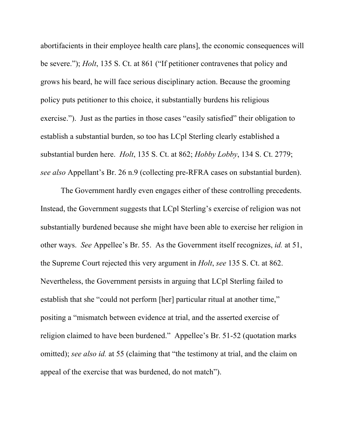abortifacients in their employee health care plans], the economic consequences will be severe."); *Holt*, 135 S. Ct. at 861 ("If petitioner contravenes that policy and grows his beard, he will face serious disciplinary action. Because the grooming policy puts petitioner to this choice, it substantially burdens his religious exercise."). Just as the parties in those cases "easily satisfied" their obligation to establish a substantial burden, so too has LCpl Sterling clearly established a substantial burden here. *Holt*, 135 S. Ct. at 862; *Hobby Lobby*, 134 S. Ct. 2779; *see also* Appellant's Br. 26 n.9 (collecting pre-RFRA cases on substantial burden).

The Government hardly even engages either of these controlling precedents. Instead, the Government suggests that LCpl Sterling's exercise of religion was not substantially burdened because she might have been able to exercise her religion in other ways. *See* Appellee's Br. 55. As the Government itself recognizes, *id.* at 51, the Supreme Court rejected this very argument in *Holt*, *see* 135 S. Ct. at 862. Nevertheless, the Government persists in arguing that LCpl Sterling failed to establish that she "could not perform [her] particular ritual at another time," positing a "mismatch between evidence at trial, and the asserted exercise of religion claimed to have been burdened." Appellee's Br. 51-52 (quotation marks omitted); *see also id.* at 55 (claiming that "the testimony at trial, and the claim on appeal of the exercise that was burdened, do not match").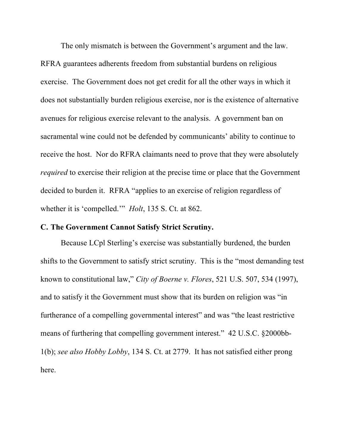The only mismatch is between the Government's argument and the law. RFRA guarantees adherents freedom from substantial burdens on religious exercise. The Government does not get credit for all the other ways in which it does not substantially burden religious exercise, nor is the existence of alternative avenues for religious exercise relevant to the analysis. A government ban on sacramental wine could not be defended by communicants' ability to continue to receive the host. Nor do RFRA claimants need to prove that they were absolutely *required* to exercise their religion at the precise time or place that the Government decided to burden it. RFRA "applies to an exercise of religion regardless of whether it is 'compelled.'" *Holt*, 135 S. Ct. at 862.

#### **C. The Government Cannot Satisfy Strict Scrutiny.**

Because LCpl Sterling's exercise was substantially burdened, the burden shifts to the Government to satisfy strict scrutiny. This is the "most demanding test known to constitutional law," *City of Boerne v. Flores*, 521 U.S. 507, 534 (1997), and to satisfy it the Government must show that its burden on religion was "in furtherance of a compelling governmental interest" and was "the least restrictive means of furthering that compelling government interest." 42 U.S.C. §2000bb-1(b); *see also Hobby Lobby*, 134 S. Ct. at 2779. It has not satisfied either prong here.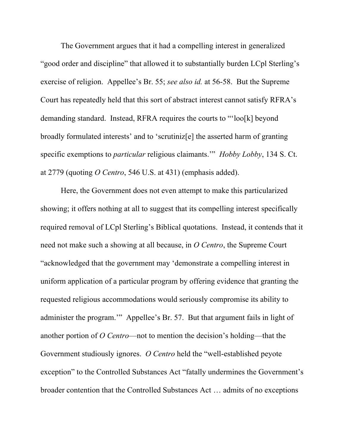The Government argues that it had a compelling interest in generalized "good order and discipline" that allowed it to substantially burden LCpl Sterling's exercise of religion. Appellee's Br. 55; *see also id.* at 56-58. But the Supreme Court has repeatedly held that this sort of abstract interest cannot satisfy RFRA's demanding standard. Instead, RFRA requires the courts to "'loo[k] beyond broadly formulated interests' and to 'scrutiniz[e] the asserted harm of granting specific exemptions to *particular* religious claimants.'" *Hobby Lobby*, 134 S. Ct. at 2779 (quoting *O Centro*, 546 U.S. at 431) (emphasis added).

Here, the Government does not even attempt to make this particularized showing; it offers nothing at all to suggest that its compelling interest specifically required removal of LCpl Sterling's Biblical quotations. Instead, it contends that it need not make such a showing at all because, in *O Centro*, the Supreme Court "acknowledged that the government may 'demonstrate a compelling interest in uniform application of a particular program by offering evidence that granting the requested religious accommodations would seriously compromise its ability to administer the program.'" Appellee's Br. 57. But that argument fails in light of another portion of *O Centro*—not to mention the decision's holding—that the Government studiously ignores. *O Centro* held the "well-established peyote exception" to the Controlled Substances Act "fatally undermines the Government's broader contention that the Controlled Substances Act … admits of no exceptions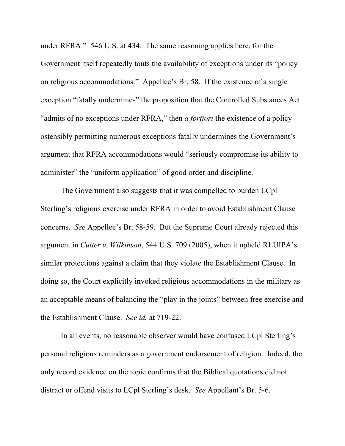under RFRA." 546 U.S. at 434. The same reasoning applies here, for the Government itself repeatedly touts the availability of exceptions under its "policy on religious accommodations." Appellee's Br. 58. If the existence of a single exception "fatally undermines" the proposition that the Controlled Substances Act "admits of no exceptions under RFRA," then *a fortiori* the existence of a policy ostensibly permitting numerous exceptions fatally undermines the Government's argument that RFRA accommodations would "seriously compromise its ability to administer" the "uniform application" of good order and discipline.

The Government also suggests that it was compelled to burden LCpl Sterling's religious exercise under RFRA in order to avoid Establishment Clause concerns. *See* Appellee's Br. 58-59. But the Supreme Court already rejected this argument in *Cutter v. Wilkinson*, 544 U.S. 709 (2005), when it upheld RLUIPA's similar protections against a claim that they violate the Establishment Clause. In doing so, the Court explicitly invoked religious accommodations in the military as an acceptable means of balancing the "play in the joints" between free exercise and the Establishment Clause. *See id.* at 719-22.

In all events, no reasonable observer would have confused LCpl Sterling's personal religious reminders as a government endorsement of religion. Indeed, the only record evidence on the topic confirms that the Biblical quotations did not distract or offend visits to LCpl Sterling's desk. *See* Appellant's Br. 5-6.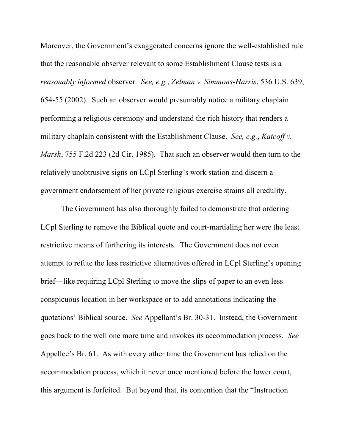Moreover, the Government's exaggerated concerns ignore the well-established rule that the reasonable observer relevant to some Establishment Clause tests is a *reasonably informed* observer. *See, e.g.*, *Zelman v. Simmons-Harris*, 536 U.S. 639, 654-55 (2002). Such an observer would presumably notice a military chaplain performing a religious ceremony and understand the rich history that renders a military chaplain consistent with the Establishment Clause. *See, e.g.*, *Katcoff v. Marsh*, 755 F.2d 223 (2d Cir. 1985). That such an observer would then turn to the relatively unobtrusive signs on LCpl Sterling's work station and discern a government endorsement of her private religious exercise strains all credulity.

The Government has also thoroughly failed to demonstrate that ordering LCpl Sterling to remove the Biblical quote and court-martialing her were the least restrictive means of furthering its interests. The Government does not even attempt to refute the less restrictive alternatives offered in LCpl Sterling's opening brief—like requiring LCpl Sterling to move the slips of paper to an even less conspicuous location in her workspace or to add annotations indicating the quotations' Biblical source. *See* Appellant's Br. 30-31. Instead, the Government goes back to the well one more time and invokes its accommodation process. *See* Appellee's Br. 61. As with every other time the Government has relied on the accommodation process, which it never once mentioned before the lower court, this argument is forfeited. But beyond that, its contention that the "Instruction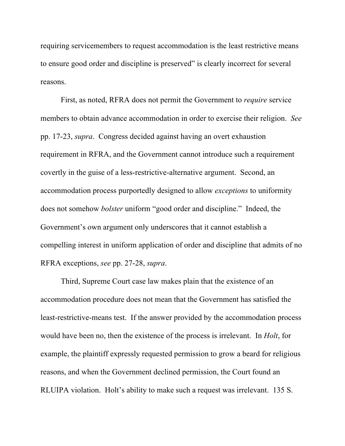requiring servicemembers to request accommodation is the least restrictive means to ensure good order and discipline is preserved" is clearly incorrect for several reasons.

First, as noted, RFRA does not permit the Government to *require* service members to obtain advance accommodation in order to exercise their religion. *See* pp. 17-23, *supra*. Congress decided against having an overt exhaustion requirement in RFRA, and the Government cannot introduce such a requirement covertly in the guise of a less-restrictive-alternative argument. Second, an accommodation process purportedly designed to allow *exceptions* to uniformity does not somehow *bolster* uniform "good order and discipline." Indeed, the Government's own argument only underscores that it cannot establish a compelling interest in uniform application of order and discipline that admits of no RFRA exceptions, *see* pp. 27-28, *supra*.

Third, Supreme Court case law makes plain that the existence of an accommodation procedure does not mean that the Government has satisfied the least-restrictive-means test. If the answer provided by the accommodation process would have been no, then the existence of the process is irrelevant. In *Holt*, for example, the plaintiff expressly requested permission to grow a beard for religious reasons, and when the Government declined permission, the Court found an RLUIPA violation. Holt's ability to make such a request was irrelevant. 135 S.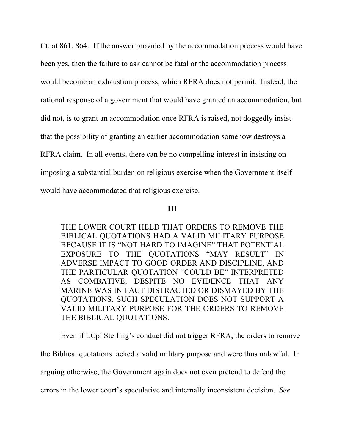Ct. at 861, 864. If the answer provided by the accommodation process would have been yes, then the failure to ask cannot be fatal or the accommodation process would become an exhaustion process, which RFRA does not permit. Instead, the rational response of a government that would have granted an accommodation, but did not, is to grant an accommodation once RFRA is raised, not doggedly insist that the possibility of granting an earlier accommodation somehow destroys a RFRA claim. In all events, there can be no compelling interest in insisting on imposing a substantial burden on religious exercise when the Government itself would have accommodated that religious exercise.

#### **III**

THE LOWER COURT HELD THAT ORDERS TO REMOVE THE BIBLICAL QUOTATIONS HAD A VALID MILITARY PURPOSE BECAUSE IT IS "NOT HARD TO IMAGINE" THAT POTENTIAL EXPOSURE TO THE QUOTATIONS "MAY RESULT" IN ADVERSE IMPACT TO GOOD ORDER AND DISCIPLINE, AND THE PARTICULAR QUOTATION "COULD BE" INTERPRETED AS COMBATIVE, DESPITE NO EVIDENCE THAT ANY MARINE WAS IN FACT DISTRACTED OR DISMAYED BY THE QUOTATIONS. SUCH SPECULATION DOES NOT SUPPORT A VALID MILITARY PURPOSE FOR THE ORDERS TO REMOVE THE BIBLICAL QUOTATIONS.

Even if LCpl Sterling's conduct did not trigger RFRA, the orders to remove

the Biblical quotations lacked a valid military purpose and were thus unlawful. In

arguing otherwise, the Government again does not even pretend to defend the

errors in the lower court's speculative and internally inconsistent decision. *See*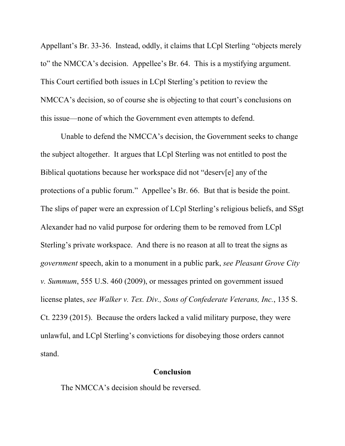Appellant's Br. 33-36. Instead, oddly, it claims that LCpl Sterling "objects merely to" the NMCCA's decision. Appellee's Br. 64. This is a mystifying argument. This Court certified both issues in LCpl Sterling's petition to review the NMCCA's decision, so of course she is objecting to that court's conclusions on this issue—none of which the Government even attempts to defend.

Unable to defend the NMCCA's decision, the Government seeks to change the subject altogether. It argues that LCpl Sterling was not entitled to post the Biblical quotations because her workspace did not "deserv[e] any of the protections of a public forum." Appellee's Br. 66. But that is beside the point. The slips of paper were an expression of LCpl Sterling's religious beliefs, and SSgt Alexander had no valid purpose for ordering them to be removed from LCpl Sterling's private workspace. And there is no reason at all to treat the signs as *government* speech, akin to a monument in a public park, *see Pleasant Grove City v. Summum*, 555 U.S. 460 (2009), or messages printed on government issued license plates, *see Walker v. Tex. Div., Sons of Confederate Veterans, Inc.*, 135 S. Ct. 2239 (2015). Because the orders lacked a valid military purpose, they were unlawful, and LCpl Sterling's convictions for disobeying those orders cannot stand.

#### **Conclusion**

The NMCCA's decision should be reversed.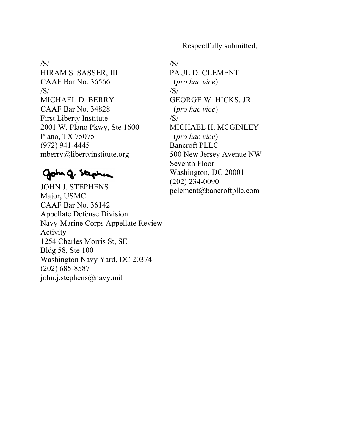Respectfully submitted,

#### /S/

HIRAM S. SASSER, III CAAF Bar No. 36566 /S/ MICHAEL D. BERRY CAAF Bar No. 34828 First Liberty Institute 2001 W. Plano Pkwy, Ste 1600 Plano, TX 75075 (972) 941-4445 mberry@libertyinstitute.org

# Goth g. Stephen

- JOHN J. STEPHENS Major, USMC CAAF Bar No. 36142 Appellate Defense Division Navy-Marine Corps Appellate Review Activity 1254 Charles Morris St, SE Bldg 58, Ste 100 Washington Navy Yard, DC 20374 (202) 685-8587 john.j.stephens@navy.mil
- /S/ PAUL D. CLEMENT (*pro hac vice*) /S/ GEORGE W. HICKS, JR. (*pro hac vice*) /S/ MICHAEL H. MCGINLEY (*pro hac vice*) Bancroft PLLC 500 New Jersey Avenue NW Seventh Floor Washington, DC 20001 (202) 234-0090 pclement@bancroftpllc.com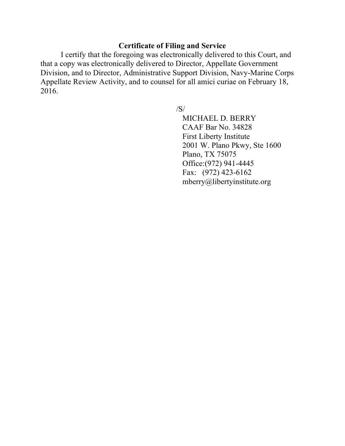### **Certificate of Filing and Service**

I certify that the foregoing was electronically delivered to this Court, and that a copy was electronically delivered to Director, Appellate Government Division, and to Director, Administrative Support Division, Navy-Marine Corps Appellate Review Activity, and to counsel for all amici curiae on February 18, 2016.

/S/

MICHAEL D. BERRY CAAF Bar No. 34828 First Liberty Institute 2001 W. Plano Pkwy, Ste 1600 Plano, TX 75075 Office:(972) 941-4445 Fax: (972) 423-6162 mberry@libertyinstitute.org